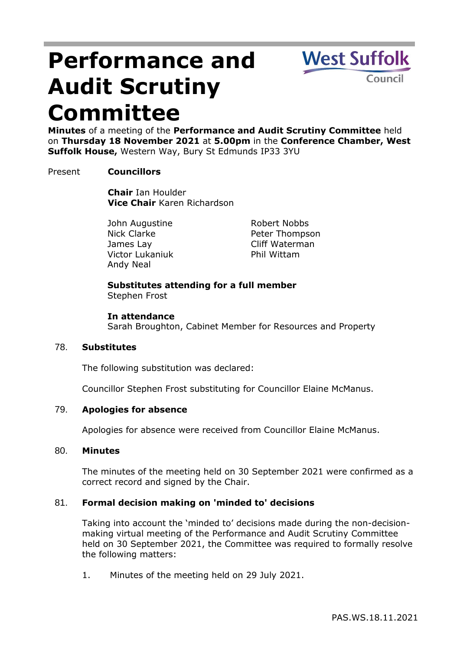# **Performance and Audit Scrutiny Committee**



**Minutes** of a meeting of the **Performance and Audit Scrutiny Committee** held on **Thursday 18 November 2021** at **5.00pm** in the **Conference Chamber, West Suffolk House,** Western Way, Bury St Edmunds IP33 3YU

## Present **Councillors**

**Chair** Ian Houlder **Vice Chair** Karen Richardson

John Augustine Nick Clarke James Lay Victor Lukaniuk Andy Neal

Robert Nobbs Peter Thompson Cliff Waterman Phil Wittam

## **Substitutes attending for a full member** Stephen Frost

## **In attendance**

Sarah Broughton, Cabinet Member for Resources and Property

## 78. **Substitutes**

The following substitution was declared:

Councillor Stephen Frost substituting for Councillor Elaine McManus.

# 79. **Apologies for absence**

Apologies for absence were received from Councillor Elaine McManus.

## 80. **Minutes**

The minutes of the meeting held on 30 September 2021 were confirmed as a correct record and signed by the Chair.

# 81. **Formal decision making on 'minded to' decisions**

Taking into account the 'minded to' decisions made during the non-decisionmaking virtual meeting of the Performance and Audit Scrutiny Committee held on 30 September 2021, the Committee was required to formally resolve the following matters:

1. Minutes of the meeting held on 29 July 2021.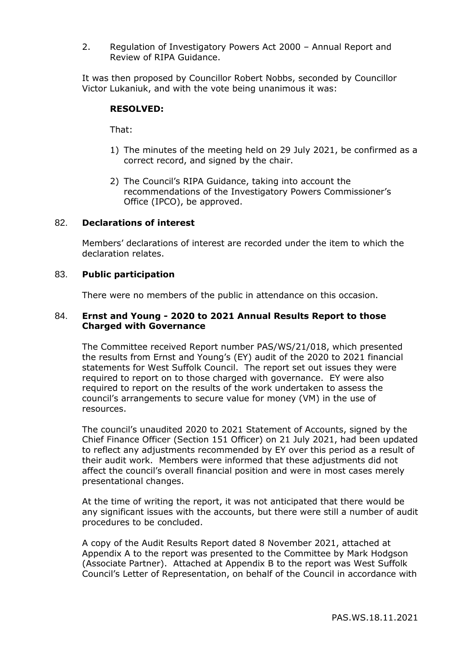2. Regulation of Investigatory Powers Act 2000 – Annual Report and Review of RIPA Guidance.

It was then proposed by Councillor Robert Nobbs, seconded by Councillor Victor Lukaniuk, and with the vote being unanimous it was:

## **RESOLVED:**

That:

- 1) The minutes of the meeting held on 29 July 2021, be confirmed as a correct record, and signed by the chair.
- 2) The Council's RIPA Guidance, taking into account the recommendations of the Investigatory Powers Commissioner's Office (IPCO), be approved.

## 82. **Declarations of interest**

Members' declarations of interest are recorded under the item to which the declaration relates.

## 83. **Public participation**

There were no members of the public in attendance on this occasion.

## 84. **Ernst and Young - 2020 to 2021 Annual Results Report to those Charged with Governance**

The Committee received Report number PAS/WS/21/018, which presented the results from Ernst and Young's (EY) audit of the 2020 to 2021 financial statements for West Suffolk Council. The report set out issues they were required to report on to those charged with governance. EY were also required to report on the results of the work undertaken to assess the council's arrangements to secure value for money (VM) in the use of resources.

The council's unaudited 2020 to 2021 Statement of Accounts, signed by the Chief Finance Officer (Section 151 Officer) on 21 July 2021, had been updated to reflect any adjustments recommended by EY over this period as a result of their audit work. Members were informed that these adjustments did not affect the council's overall financial position and were in most cases merely presentational changes.

At the time of writing the report, it was not anticipated that there would be any significant issues with the accounts, but there were still a number of audit procedures to be concluded.

A copy of the Audit Results Report dated 8 November 2021, attached at Appendix A to the report was presented to the Committee by Mark Hodgson (Associate Partner). Attached at Appendix B to the report was West Suffolk Council's Letter of Representation, on behalf of the Council in accordance with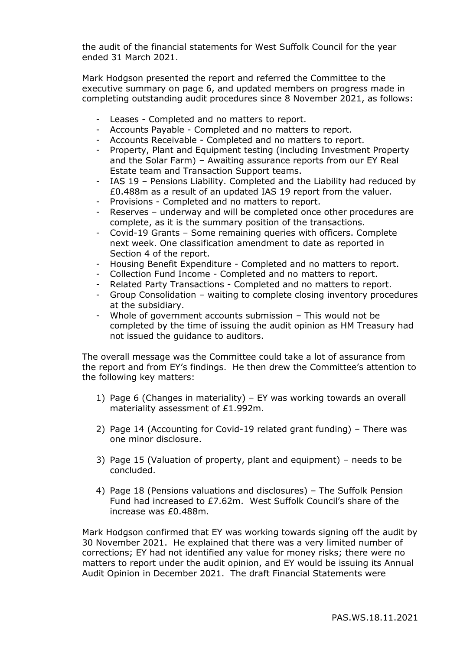the audit of the financial statements for West Suffolk Council for the year ended 31 March 2021.

Mark Hodgson presented the report and referred the Committee to the executive summary on page 6, and updated members on progress made in completing outstanding audit procedures since 8 November 2021, as follows:

- Leases Completed and no matters to report.
- Accounts Payable Completed and no matters to report.
- Accounts Receivable Completed and no matters to report.
- Property, Plant and Equipment testing (including Investment Property and the Solar Farm) – Awaiting assurance reports from our EY Real Estate team and Transaction Support teams.
- IAS 19 Pensions Liability. Completed and the Liability had reduced by £0.488m as a result of an updated IAS 19 report from the valuer.
- Provisions Completed and no matters to report.
- Reserves underway and will be completed once other procedures are complete, as it is the summary position of the transactions.
- Covid-19 Grants Some remaining queries with officers. Complete next week. One classification amendment to date as reported in Section 4 of the report.
- Housing Benefit Expenditure Completed and no matters to report.
- Collection Fund Income Completed and no matters to report.
- Related Party Transactions Completed and no matters to report.
- Group Consolidation waiting to complete closing inventory procedures at the subsidiary.
- Whole of government accounts submission This would not be completed by the time of issuing the audit opinion as HM Treasury had not issued the guidance to auditors.

The overall message was the Committee could take a lot of assurance from the report and from EY's findings. He then drew the Committee's attention to the following key matters:

- 1) Page 6 (Changes in materiality) EY was working towards an overall materiality assessment of £1.992m.
- 2) Page 14 (Accounting for Covid-19 related grant funding) There was one minor disclosure.
- 3) Page 15 (Valuation of property, plant and equipment) needs to be concluded.
- 4) Page 18 (Pensions valuations and disclosures) The Suffolk Pension Fund had increased to £7.62m. West Suffolk Council's share of the increase was £0.488m.

Mark Hodgson confirmed that EY was working towards signing off the audit by 30 November 2021. He explained that there was a very limited number of corrections; EY had not identified any value for money risks; there were no matters to report under the audit opinion, and EY would be issuing its Annual Audit Opinion in December 2021. The draft Financial Statements were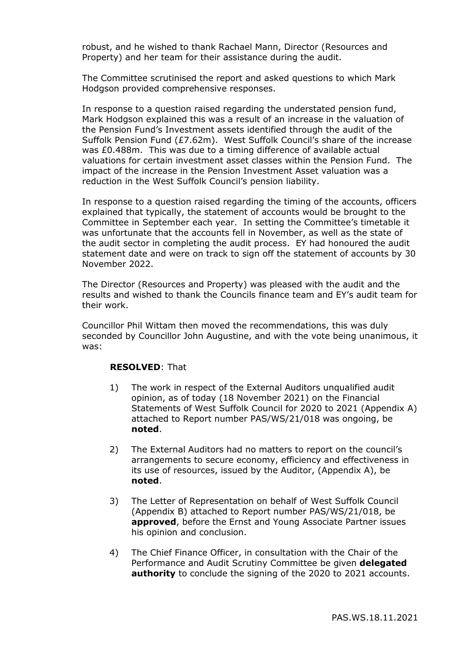robust, and he wished to thank Rachael Mann, Director (Resources and Property) and her team for their assistance during the audit.

The Committee scrutinised the report and asked questions to which Mark Hodgson provided comprehensive responses.

In response to a question raised regarding the understated pension fund, Mark Hodgson explained this was a result of an increase in the valuation of the Pension Fund's Investment assets identified through the audit of the Suffolk Pension Fund (£7.62m). West Suffolk Council's share of the increase was £0.488m. This was due to a timing difference of available actual valuations for certain investment asset classes within the Pension Fund. The impact of the increase in the Pension Investment Asset valuation was a reduction in the West Suffolk Council's pension liability.

In response to a question raised regarding the timing of the accounts, officers explained that typically, the statement of accounts would be brought to the Committee in September each year. In setting the Committee's timetable it was unfortunate that the accounts fell in November, as well as the state of the audit sector in completing the audit process. EY had honoured the audit statement date and were on track to sign off the statement of accounts by 30 November 2022.

The Director (Resources and Property) was pleased with the audit and the results and wished to thank the Councils finance team and EY's audit team for their work.

Councillor Phil Wittam then moved the recommendations, this was duly seconded by Councillor John Augustine, and with the vote being unanimous, it was:

## **RESOLVED**: That

- 1) The work in respect of the External Auditors unqualified audit opinion, as of today (18 November 2021) on the Financial Statements of West Suffolk Council for 2020 to 2021 (Appendix A) attached to Report number PAS/WS/21/018 was ongoing, be **noted**.
- 2) The External Auditors had no matters to report on the council's arrangements to secure economy, efficiency and effectiveness in its use of resources, issued by the Auditor, (Appendix A), be **noted**.
- 3) The Letter of Representation on behalf of West Suffolk Council (Appendix B) attached to Report number PAS/WS/21/018, be **approved**, before the Ernst and Young Associate Partner issues his opinion and conclusion.
- 4) The Chief Finance Officer, in consultation with the Chair of the Performance and Audit Scrutiny Committee be given **delegated authority** to conclude the signing of the 2020 to 2021 accounts.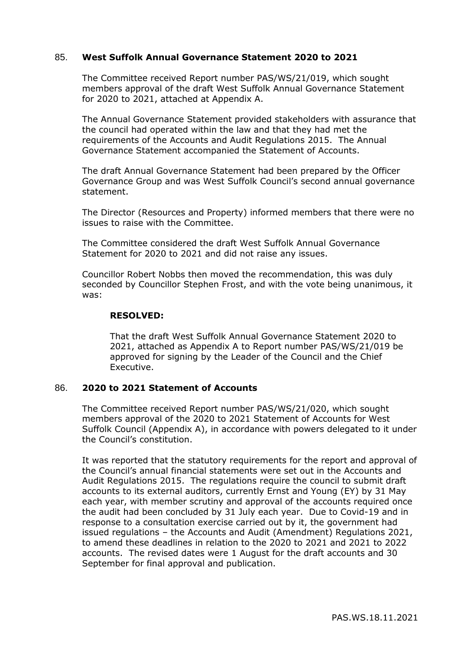## 85. **West Suffolk Annual Governance Statement 2020 to 2021**

The Committee received Report number PAS/WS/21/019, which sought members approval of the draft West Suffolk Annual Governance Statement for 2020 to 2021, attached at Appendix A.

The Annual Governance Statement provided stakeholders with assurance that the council had operated within the law and that they had met the requirements of the Accounts and Audit Regulations 2015. The Annual Governance Statement accompanied the Statement of Accounts.

The draft Annual Governance Statement had been prepared by the Officer Governance Group and was West Suffolk Council's second annual governance statement.

The Director (Resources and Property) informed members that there were no issues to raise with the Committee.

The Committee considered the draft West Suffolk Annual Governance Statement for 2020 to 2021 and did not raise any issues.

Councillor Robert Nobbs then moved the recommendation, this was duly seconded by Councillor Stephen Frost, and with the vote being unanimous, it was:

## **RESOLVED:**

That the draft West Suffolk Annual Governance Statement 2020 to 2021, attached as Appendix A to Report number PAS/WS/21/019 be approved for signing by the Leader of the Council and the Chief Executive.

## 86. **2020 to 2021 Statement of Accounts**

The Committee received Report number PAS/WS/21/020, which sought members approval of the 2020 to 2021 Statement of Accounts for West Suffolk Council (Appendix A), in accordance with powers delegated to it under the Council's constitution.

It was reported that the statutory requirements for the report and approval of the Council's annual financial statements were set out in the Accounts and Audit Regulations 2015. The regulations require the council to submit draft accounts to its external auditors, currently Ernst and Young (EY) by 31 May each year, with member scrutiny and approval of the accounts required once the audit had been concluded by 31 July each year. Due to Covid-19 and in response to a consultation exercise carried out by it, the government had issued regulations – the Accounts and Audit (Amendment) Regulations 2021, to amend these deadlines in relation to the 2020 to 2021 and 2021 to 2022 accounts. The revised dates were 1 August for the draft accounts and 30 September for final approval and publication.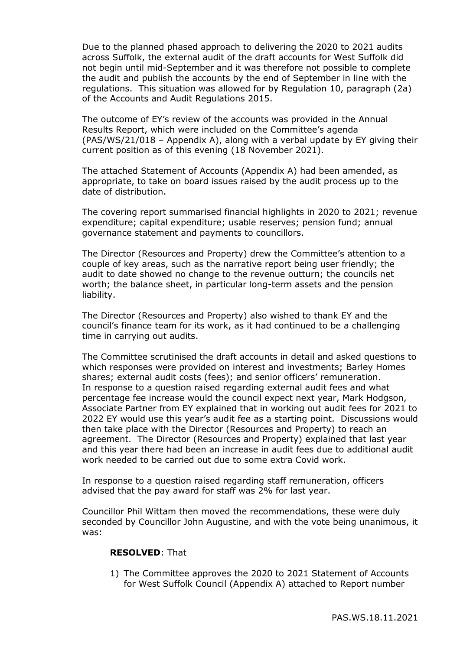Due to the planned phased approach to delivering the 2020 to 2021 audits across Suffolk, the external audit of the draft accounts for West Suffolk did not begin until mid-September and it was therefore not possible to complete the audit and publish the accounts by the end of September in line with the regulations. This situation was allowed for by Regulation 10, paragraph (2a) of the Accounts and Audit Regulations 2015.

The outcome of EY's review of the accounts was provided in the Annual Results Report, which were included on the Committee's agenda (PAS/WS/21/018 – Appendix A), along with a verbal update by EY giving their current position as of this evening (18 November 2021).

The attached Statement of Accounts (Appendix A) had been amended, as appropriate, to take on board issues raised by the audit process up to the date of distribution.

The covering report summarised financial highlights in 2020 to 2021; revenue expenditure; capital expenditure; usable reserves; pension fund; annual governance statement and payments to councillors.

The Director (Resources and Property) drew the Committee's attention to a couple of key areas, such as the narrative report being user friendly; the audit to date showed no change to the revenue outturn; the councils net worth; the balance sheet, in particular long-term assets and the pension liability.

The Director (Resources and Property) also wished to thank EY and the council's finance team for its work, as it had continued to be a challenging time in carrying out audits.

The Committee scrutinised the draft accounts in detail and asked questions to which responses were provided on interest and investments; Barley Homes shares; external audit costs (fees); and senior officers' remuneration. In response to a question raised regarding external audit fees and what percentage fee increase would the council expect next year, Mark Hodgson, Associate Partner from EY explained that in working out audit fees for 2021 to 2022 EY would use this year's audit fee as a starting point. Discussions would then take place with the Director (Resources and Property) to reach an agreement. The Director (Resources and Property) explained that last year and this year there had been an increase in audit fees due to additional audit work needed to be carried out due to some extra Covid work.

In response to a question raised regarding staff remuneration, officers advised that the pay award for staff was 2% for last year.

Councillor Phil Wittam then moved the recommendations, these were duly seconded by Councillor John Augustine, and with the vote being unanimous, it was:

## **RESOLVED**: That

1) The Committee approves the 2020 to 2021 Statement of Accounts for West Suffolk Council (Appendix A) attached to Report number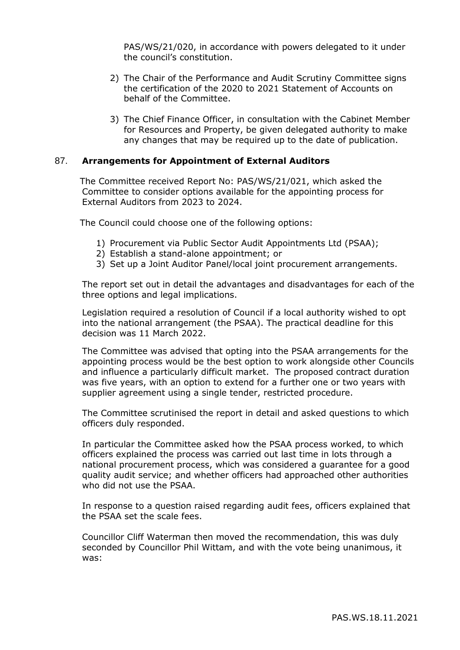PAS/WS/21/020, in accordance with powers delegated to it under the council's constitution.

- 2) The Chair of the Performance and Audit Scrutiny Committee signs the certification of the 2020 to 2021 Statement of Accounts on behalf of the Committee.
- 3) The Chief Finance Officer, in consultation with the Cabinet Member for Resources and Property, be given delegated authority to make any changes that may be required up to the date of publication.

## 87. **Arrangements for Appointment of External Auditors**

The Committee received Report No: PAS/WS/21/021, which asked the Committee to consider options available for the appointing process for External Auditors from 2023 to 2024.

The Council could choose one of the following options:

- 1) Procurement via Public Sector Audit Appointments Ltd (PSAA);
- 2) Establish a stand-alone appointment; or
- 3) Set up a Joint Auditor Panel/local joint procurement arrangements.

The report set out in detail the advantages and disadvantages for each of the three options and legal implications.

Legislation required a resolution of Council if a local authority wished to opt into the national arrangement (the PSAA). The practical deadline for this decision was 11 March 2022.

The Committee was advised that opting into the PSAA arrangements for the appointing process would be the best option to work alongside other Councils and influence a particularly difficult market. The proposed contract duration was five years, with an option to extend for a further one or two years with supplier agreement using a single tender, restricted procedure.

The Committee scrutinised the report in detail and asked questions to which officers duly responded.

In particular the Committee asked how the PSAA process worked, to which officers explained the process was carried out last time in lots through a national procurement process, which was considered a guarantee for a good quality audit service; and whether officers had approached other authorities who did not use the PSAA.

In response to a question raised regarding audit fees, officers explained that the PSAA set the scale fees.

Councillor Cliff Waterman then moved the recommendation, this was duly seconded by Councillor Phil Wittam, and with the vote being unanimous, it was: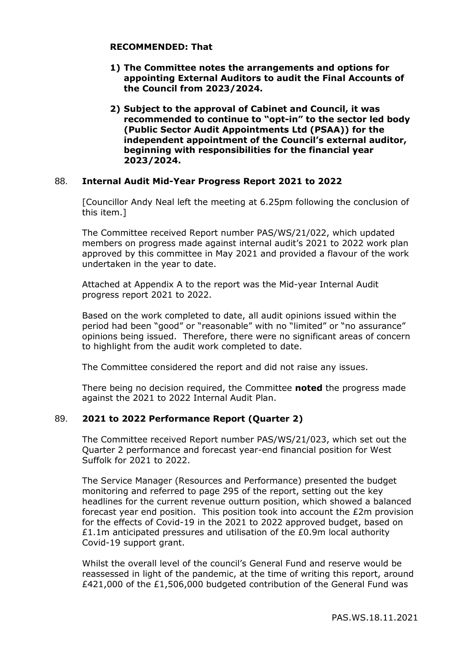## **RECOMMENDED: That**

- **1) The Committee notes the arrangements and options for appointing External Auditors to audit the Final Accounts of the Council from 2023/2024.**
- **2) Subject to the approval of Cabinet and Council, it was recommended to continue to "opt-in" to the sector led body (Public Sector Audit Appointments Ltd (PSAA)) for the independent appointment of the Council's external auditor, beginning with responsibilities for the financial year 2023/2024.**

## 88. **Internal Audit Mid-Year Progress Report 2021 to 2022**

[Councillor Andy Neal left the meeting at 6.25pm following the conclusion of this item.]

The Committee received Report number PAS/WS/21/022, which updated members on progress made against internal audit's 2021 to 2022 work plan approved by this committee in May 2021 and provided a flavour of the work undertaken in the year to date.

Attached at Appendix A to the report was the Mid-year Internal Audit progress report 2021 to 2022.

Based on the work completed to date, all audit opinions issued within the period had been "good" or "reasonable" with no "limited" or "no assurance" opinions being issued. Therefore, there were no significant areas of concern to highlight from the audit work completed to date.

The Committee considered the report and did not raise any issues.

There being no decision required, the Committee **noted** the progress made against the 2021 to 2022 Internal Audit Plan.

# 89. **2021 to 2022 Performance Report (Quarter 2)**

The Committee received Report number PAS/WS/21/023, which set out the Quarter 2 performance and forecast year-end financial position for West Suffolk for 2021 to 2022.

The Service Manager (Resources and Performance) presented the budget monitoring and referred to page 295 of the report, setting out the key headlines for the current revenue outturn position, which showed a balanced forecast year end position. This position took into account the £2m provision for the effects of Covid-19 in the 2021 to 2022 approved budget, based on £1.1m anticipated pressures and utilisation of the £0.9m local authority Covid-19 support grant.

Whilst the overall level of the council's General Fund and reserve would be reassessed in light of the pandemic, at the time of writing this report, around £421,000 of the £1,506,000 budgeted contribution of the General Fund was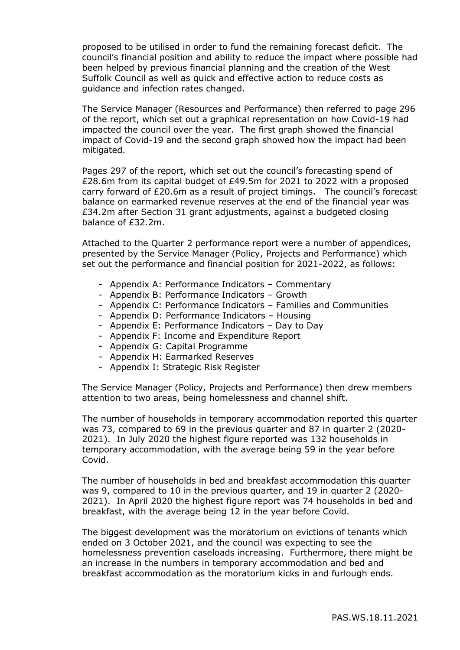proposed to be utilised in order to fund the remaining forecast deficit. The council's financial position and ability to reduce the impact where possible had been helped by previous financial planning and the creation of the West Suffolk Council as well as quick and effective action to reduce costs as guidance and infection rates changed.

The Service Manager (Resources and Performance) then referred to page 296 of the report, which set out a graphical representation on how Covid-19 had impacted the council over the year. The first graph showed the financial impact of Covid-19 and the second graph showed how the impact had been mitigated.

Pages 297 of the report, which set out the council's forecasting spend of £28.6m from its capital budget of £49.5m for 2021 to 2022 with a proposed carry forward of £20.6m as a result of project timings. The council's forecast balance on earmarked revenue reserves at the end of the financial year was £34.2m after Section 31 grant adjustments, against a budgeted closing balance of £32.2m.

Attached to the Quarter 2 performance report were a number of appendices, presented by the Service Manager (Policy, Projects and Performance) which set out the performance and financial position for 2021-2022, as follows:

- Appendix A: Performance Indicators Commentary
- Appendix B: Performance Indicators Growth
- Appendix C: Performance Indicators Families and Communities
- Appendix D: Performance Indicators Housing
- Appendix E: Performance Indicators Day to Day
- Appendix F: Income and Expenditure Report
- Appendix G: Capital Programme
- Appendix H: Earmarked Reserves
- Appendix I: Strategic Risk Register

The Service Manager (Policy, Projects and Performance) then drew members attention to two areas, being homelessness and channel shift.

The number of households in temporary accommodation reported this quarter was 73, compared to 69 in the previous quarter and 87 in quarter 2 (2020- 2021). In July 2020 the highest figure reported was 132 households in temporary accommodation, with the average being 59 in the year before Covid.

The number of households in bed and breakfast accommodation this quarter was 9, compared to 10 in the previous quarter, and 19 in quarter 2 (2020- 2021). In April 2020 the highest figure report was 74 households in bed and breakfast, with the average being 12 in the year before Covid.

The biggest development was the moratorium on evictions of tenants which ended on 3 October 2021, and the council was expecting to see the homelessness prevention caseloads increasing. Furthermore, there might be an increase in the numbers in temporary accommodation and bed and breakfast accommodation as the moratorium kicks in and furlough ends.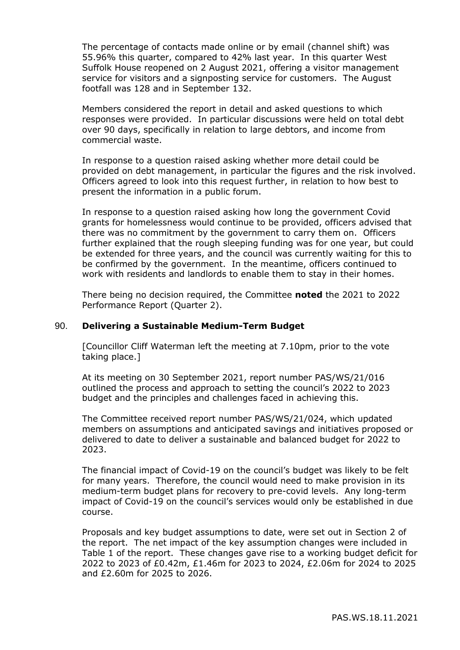The percentage of contacts made online or by email (channel shift) was 55.96% this quarter, compared to 42% last year. In this quarter West Suffolk House reopened on 2 August 2021, offering a visitor management service for visitors and a signposting service for customers. The August footfall was 128 and in September 132.

Members considered the report in detail and asked questions to which responses were provided. In particular discussions were held on total debt over 90 days, specifically in relation to large debtors, and income from commercial waste.

In response to a question raised asking whether more detail could be provided on debt management, in particular the figures and the risk involved. Officers agreed to look into this request further, in relation to how best to present the information in a public forum.

In response to a question raised asking how long the government Covid grants for homelessness would continue to be provided, officers advised that there was no commitment by the government to carry them on. Officers further explained that the rough sleeping funding was for one year, but could be extended for three years, and the council was currently waiting for this to be confirmed by the government. In the meantime, officers continued to work with residents and landlords to enable them to stay in their homes.

There being no decision required, the Committee **noted** the 2021 to 2022 Performance Report (Quarter 2).

#### 90. **Delivering a Sustainable Medium-Term Budget**

[Councillor Cliff Waterman left the meeting at 7.10pm, prior to the vote taking place.]

At its meeting on 30 September 2021, report number PAS/WS/21/016 outlined the process and approach to setting the council's 2022 to 2023 budget and the principles and challenges faced in achieving this.

The Committee received report number PAS/WS/21/024, which updated members on assumptions and anticipated savings and initiatives proposed or delivered to date to deliver a sustainable and balanced budget for 2022 to 2023.

The financial impact of Covid-19 on the council's budget was likely to be felt for many years. Therefore, the council would need to make provision in its medium-term budget plans for recovery to pre-covid levels. Any long-term impact of Covid-19 on the council's services would only be established in due course.

Proposals and key budget assumptions to date, were set out in Section 2 of the report. The net impact of the key assumption changes were included in Table 1 of the report. These changes gave rise to a working budget deficit for 2022 to 2023 of £0.42m, £1.46m for 2023 to 2024, £2.06m for 2024 to 2025 and £2.60m for 2025 to 2026.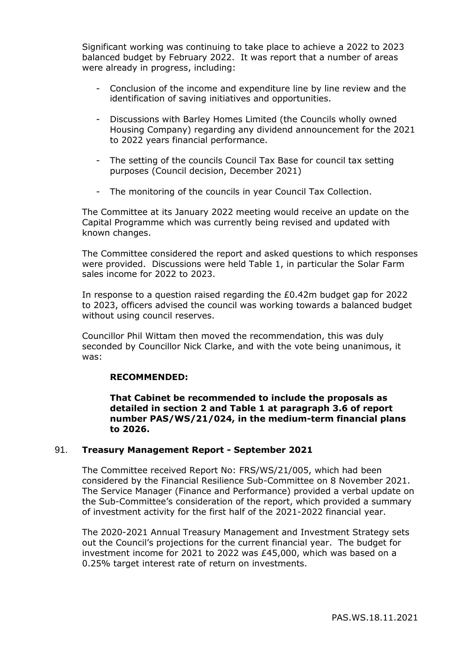Significant working was continuing to take place to achieve a 2022 to 2023 balanced budget by February 2022. It was report that a number of areas were already in progress, including:

- Conclusion of the income and expenditure line by line review and the identification of saving initiatives and opportunities.
- Discussions with Barley Homes Limited (the Councils wholly owned Housing Company) regarding any dividend announcement for the 2021 to 2022 years financial performance.
- The setting of the councils Council Tax Base for council tax setting purposes (Council decision, December 2021)
- The monitoring of the councils in year Council Tax Collection.

The Committee at its January 2022 meeting would receive an update on the Capital Programme which was currently being revised and updated with known changes.

The Committee considered the report and asked questions to which responses were provided. Discussions were held Table 1, in particular the Solar Farm sales income for 2022 to 2023.

In response to a question raised regarding the £0.42m budget gap for 2022 to 2023, officers advised the council was working towards a balanced budget without using council reserves.

Councillor Phil Wittam then moved the recommendation, this was duly seconded by Councillor Nick Clarke, and with the vote being unanimous, it was:

# **RECOMMENDED:**

**That Cabinet be recommended to include the proposals as detailed in section 2 and Table 1 at paragraph 3.6 of report number PAS/WS/21/024, in the medium-term financial plans to 2026.**

# 91. **Treasury Management Report - September 2021**

The Committee received Report No: FRS/WS/21/005, which had been considered by the Financial Resilience Sub-Committee on 8 November 2021. The Service Manager (Finance and Performance) provided a verbal update on the Sub-Committee's consideration of the report, which provided a summary of investment activity for the first half of the 2021-2022 financial year.

The 2020-2021 Annual Treasury Management and Investment Strategy sets out the Council's projections for the current financial year. The budget for investment income for 2021 to 2022 was £45,000, which was based on a 0.25% target interest rate of return on investments.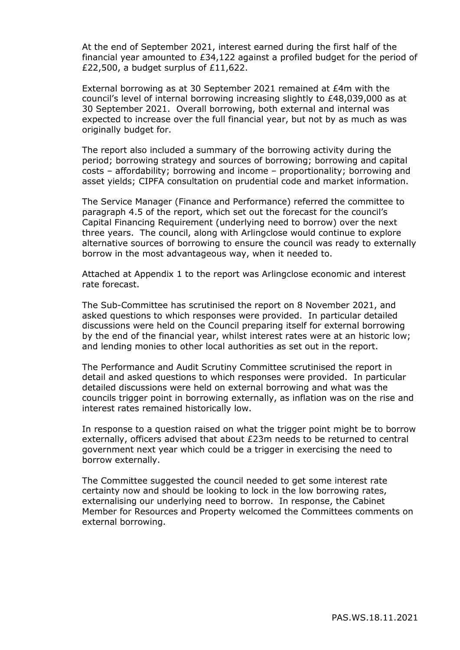At the end of September 2021, interest earned during the first half of the financial year amounted to £34,122 against a profiled budget for the period of £22,500, a budget surplus of £11,622.

External borrowing as at 30 September 2021 remained at £4m with the council's level of internal borrowing increasing slightly to £48,039,000 as at 30 September 2021. Overall borrowing, both external and internal was expected to increase over the full financial year, but not by as much as was originally budget for.

The report also included a summary of the borrowing activity during the period; borrowing strategy and sources of borrowing; borrowing and capital costs – affordability; borrowing and income – proportionality; borrowing and asset yields; CIPFA consultation on prudential code and market information.

The Service Manager (Finance and Performance) referred the committee to paragraph 4.5 of the report, which set out the forecast for the council's Capital Financing Requirement (underlying need to borrow) over the next three years. The council, along with Arlingclose would continue to explore alternative sources of borrowing to ensure the council was ready to externally borrow in the most advantageous way, when it needed to.

Attached at Appendix 1 to the report was Arlingclose economic and interest rate forecast.

The Sub-Committee has scrutinised the report on 8 November 2021, and asked questions to which responses were provided. In particular detailed discussions were held on the Council preparing itself for external borrowing by the end of the financial year, whilst interest rates were at an historic low; and lending monies to other local authorities as set out in the report.

The Performance and Audit Scrutiny Committee scrutinised the report in detail and asked questions to which responses were provided. In particular detailed discussions were held on external borrowing and what was the councils trigger point in borrowing externally, as inflation was on the rise and interest rates remained historically low.

In response to a question raised on what the trigger point might be to borrow externally, officers advised that about £23m needs to be returned to central government next year which could be a trigger in exercising the need to borrow externally.

The Committee suggested the council needed to get some interest rate certainty now and should be looking to lock in the low borrowing rates, externalising our underlying need to borrow. In response, the Cabinet Member for Resources and Property welcomed the Committees comments on external borrowing.